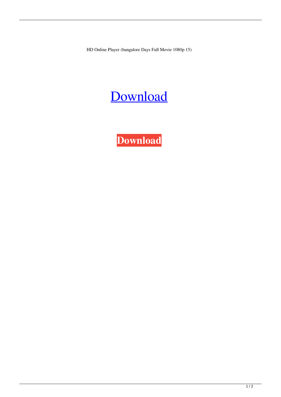HD Online Player (bangalore Days Full Movie 1080p 15)

## [Download](http://evacdir.com/ZG93bmxvYWR8SWk3TVdNNVlYeDhNVFkxTWpjME1EZzJObng4TWpVM05IeDhLRTBwSUhKbFlXUXRZbXh2WnlCYlJtRnpkQ0JIUlU1ZA/vampire/SEQgT25saW5lIFBsYXllciAoYmFuZ2Fsb3JlIGRheXMgZnVsbCBtb3ZpZSAxMDgwcCAxNSkSEQ/?hosea=sexy.veetc)